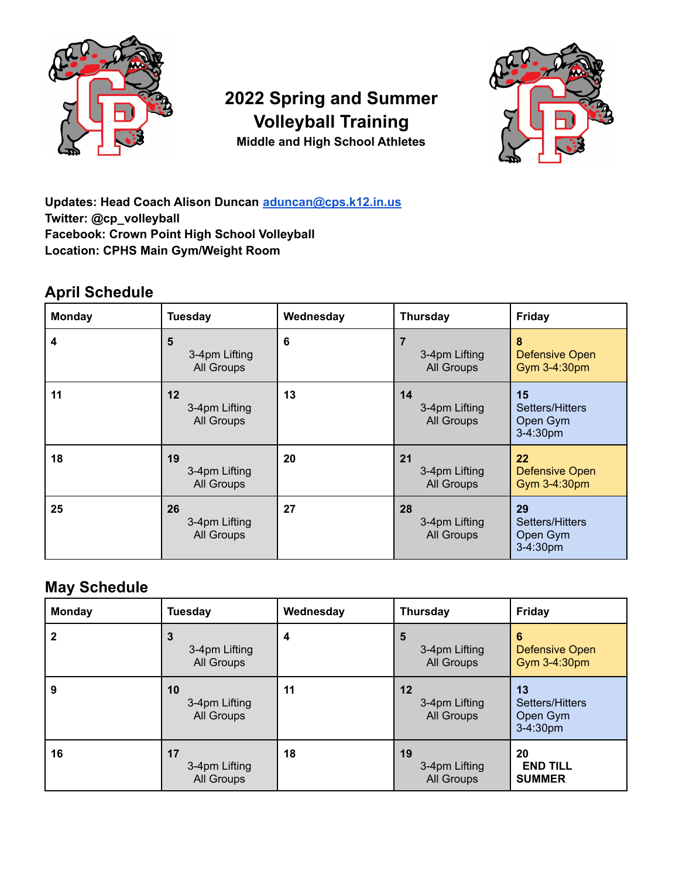

# **2022 Spring and Summer Volleyball Training Middle and High School Athletes**



**Updates: Head Coach Alison Duncan [aduncan@cps.k12.in.us](mailto:aduncan@cps.k12.in.us) Twitter: @cp\_volleyball Facebook: Crown Point High School Volleyball Location: CPHS Main Gym/Weight Room**

## **April Schedule**

| <b>Monday</b> | Tuesday                           | Wednesday | <b>Thursday</b>                               | <b>Friday</b>                                 |
|---------------|-----------------------------------|-----------|-----------------------------------------------|-----------------------------------------------|
| 4             | 5<br>3-4pm Lifting<br>All Groups  | 6         | $\overline{7}$<br>3-4pm Lifting<br>All Groups | 8<br><b>Defensive Open</b><br>Gym 3-4:30pm    |
| 11            | 12<br>3-4pm Lifting<br>All Groups | 13        | 14<br>3-4pm Lifting<br>All Groups             | 15<br>Setters/Hitters<br>Open Gym<br>3-4:30pm |
| 18            | 19<br>3-4pm Lifting<br>All Groups | 20        | 21<br>3-4pm Lifting<br>All Groups             | 22<br><b>Defensive Open</b><br>Gym 3-4:30pm   |
| 25            | 26<br>3-4pm Lifting<br>All Groups | 27        | 28<br>3-4pm Lifting<br>All Groups             | 29<br>Setters/Hitters<br>Open Gym<br>3-4:30pm |

### **May Schedule**

| Monday | <b>Tuesday</b>                    | Wednesday | <b>Thursday</b>                   | <b>Friday</b>                                   |
|--------|-----------------------------------|-----------|-----------------------------------|-------------------------------------------------|
| 2      | 3<br>3-4pm Lifting<br>All Groups  | 4         | 5<br>3-4pm Lifting<br>All Groups  | 6<br>Defensive Open<br>Gym 3-4:30pm             |
| 9      | 10<br>3-4pm Lifting<br>All Groups | 11        | 12<br>3-4pm Lifting<br>All Groups | 13<br>Setters/Hitters<br>Open Gym<br>$3-4:30pm$ |
| 16     | 17<br>3-4pm Lifting<br>All Groups | 18        | 19<br>3-4pm Lifting<br>All Groups | 20<br><b>END TILL</b><br><b>SUMMER</b>          |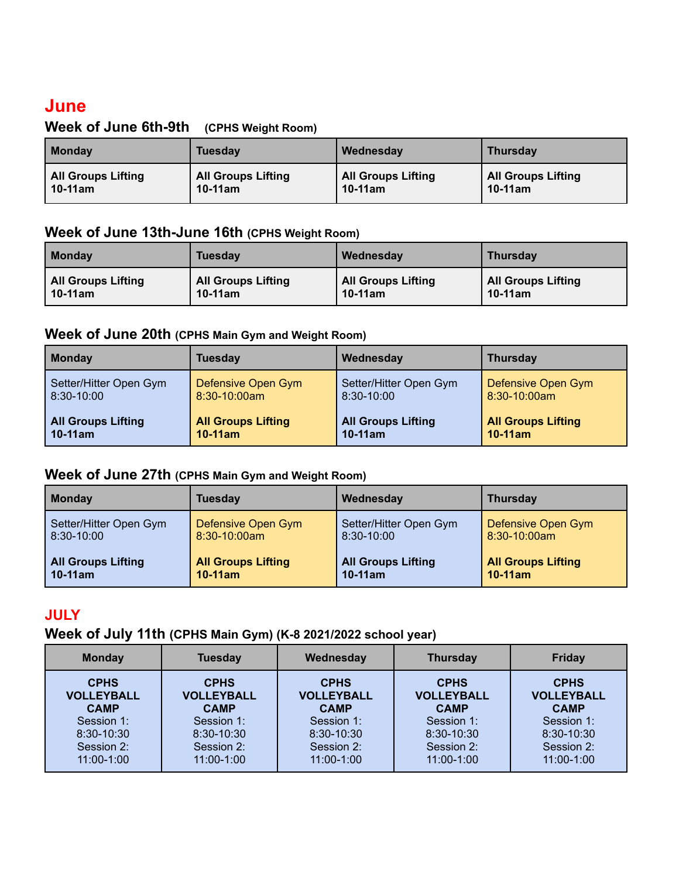## **June**

#### **Week of June 6th-9th (CPHS Weight Room)**

| Monday                    | Tuesday                   | Wednesday                 | <b>Thursday</b>           |
|---------------------------|---------------------------|---------------------------|---------------------------|
| <b>All Groups Lifting</b> | <b>All Groups Lifting</b> | <b>All Groups Lifting</b> | <b>All Groups Lifting</b> |
| $10-11$ am                | $10-11$ am                | $10-11am$                 | $10-11$ am                |

#### **Week of June 13th-June 16th (CPHS Weight Room)**

| <b>Monday</b>      | <b>Tuesday</b>            | Wednesday                 | <b>Thursday</b>           |
|--------------------|---------------------------|---------------------------|---------------------------|
| All Groups Lifting | <b>All Groups Lifting</b> | <b>All Groups Lifting</b> | <b>All Groups Lifting</b> |
| $10-11$ am         | $10-11$ am                | $10-11am$                 | $10-11am$                 |

#### **Week of June 20th (CPHS Main Gym and Weight Room)**

| <b>Monday</b>             | Tuesday                   | Wednesday                 | <b>Thursday</b>           |
|---------------------------|---------------------------|---------------------------|---------------------------|
| Setter/Hitter Open Gym    | Defensive Open Gym        | Setter/Hitter Open Gym    | Defensive Open Gym        |
| 8:30-10:00                | $8:30-10:00am$            | $8:30-10:00$              | 8:30-10:00am              |
| <b>All Groups Lifting</b> | <b>All Groups Lifting</b> | <b>All Groups Lifting</b> | <b>All Groups Lifting</b> |
| $10-11am$                 | $10-11$ am                | $10-11$ am                | $10-11$ am                |

#### **Week of June 27th (CPHS Main Gym and Weight Room)**

| <b>Monday</b>             | <b>Tuesday</b>            | Wednesday                 | <b>Thursday</b>           |
|---------------------------|---------------------------|---------------------------|---------------------------|
| Setter/Hitter Open Gym    | Defensive Open Gym        | Setter/Hitter Open Gym    | Defensive Open Gym        |
| 8:30-10:00                | $8:30-10:00am$            | 8:30-10:00                | $8:30-10:00am$            |
| <b>All Groups Lifting</b> | <b>All Groups Lifting</b> | <b>All Groups Lifting</b> | <b>All Groups Lifting</b> |
| $10-11am$                 | $10-11$ am                | $10-11$ am                | $10-11$ am                |

#### **JULY**

#### **Week of July 11th (CPHS Main Gym) (K-8 2021/2022 school year)**

| <b>Monday</b>     | <b>Tuesday</b>    | Wednesday         | <b>Thursday</b>   | <b>Friday</b>     |
|-------------------|-------------------|-------------------|-------------------|-------------------|
| <b>CPHS</b>       | <b>CPHS</b>       | <b>CPHS</b>       | <b>CPHS</b>       | <b>CPHS</b>       |
| <b>VOLLEYBALL</b> | <b>VOLLEYBALL</b> | <b>VOLLEYBALL</b> | <b>VOLLEYBALL</b> | <b>VOLLEYBALL</b> |
| <b>CAMP</b>       | <b>CAMP</b>       | <b>CAMP</b>       | <b>CAMP</b>       | <b>CAMP</b>       |
| Session 1:        | Session 1:        | Session 1:        | Session 1:        | Session 1:        |
| 8:30-10:30        | 8:30-10:30        | 8:30-10:30        | 8:30-10:30        | 8:30-10:30        |
| Session 2:        | Session 2:        | Session 2:        | Session 2:        | Session 2:        |
| $11:00 - 1:00$    | 11:00-1:00        | 11:00-1:00        | 11:00-1:00        | 11:00-1:00        |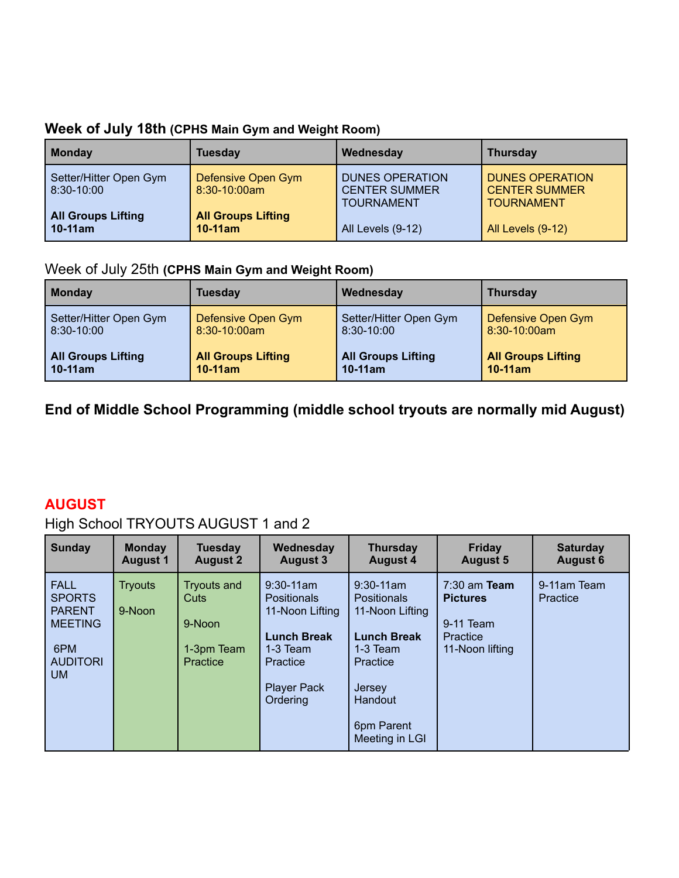|  | Week of July 18th (CPHS Main Gym and Weight Room) |  |
|--|---------------------------------------------------|--|
|--|---------------------------------------------------|--|

| <b>Monday</b>                              | <b>Tuesday</b>                          | Wednesday                                                           | <b>Thursday</b>                                                     |
|--------------------------------------------|-----------------------------------------|---------------------------------------------------------------------|---------------------------------------------------------------------|
| Setter/Hitter Open Gym<br>$ 8:30 - 10:00 $ | Defensive Open Gym<br>$8:30-10:00am$    | <b>DUNES OPERATION</b><br><b>CENTER SUMMER</b><br><b>TOURNAMENT</b> | <b>DUNES OPERATION</b><br><b>CENTER SUMMER</b><br><b>TOURNAMENT</b> |
| <b>All Groups Lifting</b><br>  10-11am     | <b>All Groups Lifting</b><br>$10-11$ am | All Levels (9-12)                                                   | All Levels (9-12)                                                   |

### Week of July 25th **(CPHS Main Gym and Weight Room)**

| Monday                    | Tuesdav                   | Wednesday                 | <b>Thursday</b>           |
|---------------------------|---------------------------|---------------------------|---------------------------|
| Setter/Hitter Open Gym    | Defensive Open Gym        | Setter/Hitter Open Gym    | Defensive Open Gym        |
| 8:30-10:00                | $8:30-10:00am$            | $8:30 - 10:00$            | $8:30-10:00am$            |
| <b>All Groups Lifting</b> | <b>All Groups Lifting</b> | <b>All Groups Lifting</b> | <b>All Groups Lifting</b> |
| $10-11$ am                | $10-11$ am                | $10-11$ am                | $10-11$ am                |

**End of Middle School Programming (middle school tryouts are normally mid August)**

### **AUGUST**

### High School TRYOUTS AUGUST 1 and 2

| Sunday                                                                                                 | <b>Monday</b>            | <b>Tuesday</b>                                                        | Wednesday                                                                                                                               | <b>Thursday</b>                                                                                                                                            | <b>Friday</b>                                                                        | <b>Saturday</b>         |
|--------------------------------------------------------------------------------------------------------|--------------------------|-----------------------------------------------------------------------|-----------------------------------------------------------------------------------------------------------------------------------------|------------------------------------------------------------------------------------------------------------------------------------------------------------|--------------------------------------------------------------------------------------|-------------------------|
|                                                                                                        | <b>August 1</b>          | <b>August 2</b>                                                       | <b>August 3</b>                                                                                                                         | <b>August 4</b>                                                                                                                                            | <b>August 5</b>                                                                      | <b>August 6</b>         |
| <b>FALL</b><br><b>SPORTS</b><br><b>PARENT</b><br><b>MEETING</b><br>6PM<br><b>AUDITORI</b><br><b>UM</b> | <b>Tryouts</b><br>9-Noon | <b>Tryouts and</b><br><b>Cuts</b><br>9-Noon<br>1-3pm Team<br>Practice | $9:30-11$ am<br><b>Positionals</b><br>11-Noon Lifting<br><b>Lunch Break</b><br>$1-3$ Team<br>Practice<br><b>Player Pack</b><br>Ordering | $9:30-11$ am<br><b>Positionals</b><br>11-Noon Lifting<br><b>Lunch Break</b><br>$1-3$ Team<br>Practice<br>Jersey<br>Handout<br>6pm Parent<br>Meeting in LGI | $7:30$ am Team<br><b>Pictures</b><br>9-11 Team<br><b>Practice</b><br>11-Noon lifting | 9-11am Team<br>Practice |